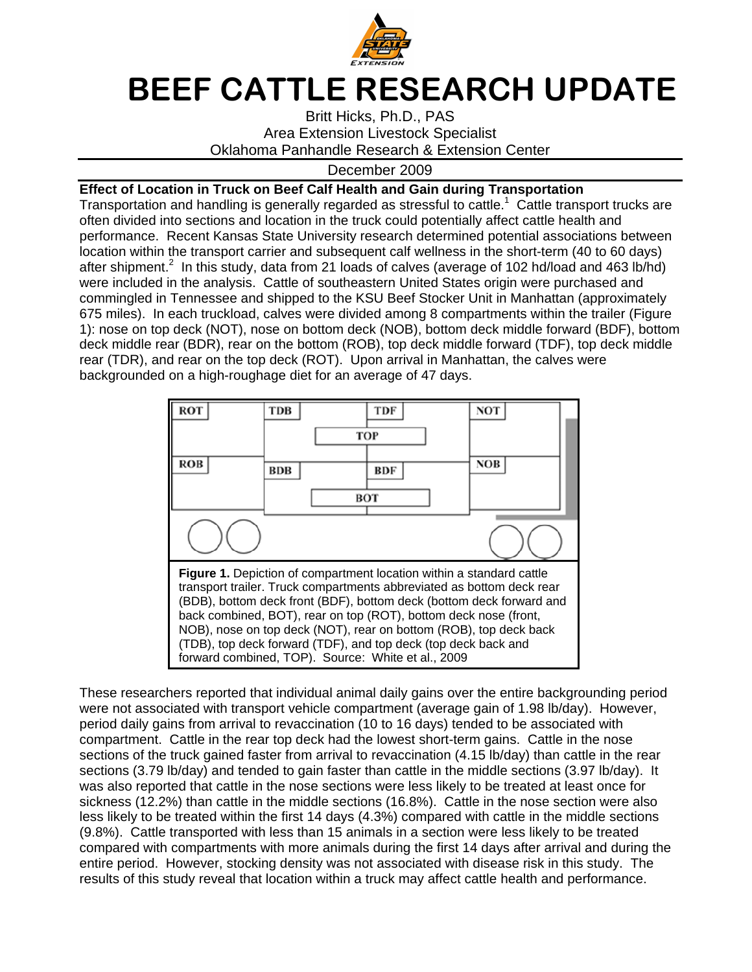

## BEEF CATTLE RESEARCH UPDATE

Britt Hicks, Ph.D., PAS Area Extension Livestock Specialist Oklahoma Panhandle Research & Extension Center

## December 2009

## **Effect of Location in Truck on Beef Calf Health and Gain during Transportation**

Transportation and handling is generally regarded as stressful to cattle.<sup>1</sup> Cattle transport trucks are often divided into sections and location in the truck could potentially affect cattle health and performance. Recent Kansas State University research determined potential associations between location within the transport carrier and subsequent calf wellness in the short-term (40 to 60 days) after shipment.<sup>2</sup> In this study, data from 21 loads of calves (average of 102 hd/load and 463 lb/hd) were included in the analysis. Cattle of southeastern United States origin were purchased and commingled in Tennessee and shipped to the KSU Beef Stocker Unit in Manhattan (approximately 675 miles). In each truckload, calves were divided among 8 compartments within the trailer (Figure 1): nose on top deck (NOT), nose on bottom deck (NOB), bottom deck middle forward (BDF), bottom deck middle rear (BDR), rear on the bottom (ROB), top deck middle forward (TDF), top deck middle rear (TDR), and rear on the top deck (ROT). Upon arrival in Manhattan, the calves were backgrounded on a high-roughage diet for an average of 47 days.



These researchers reported that individual animal daily gains over the entire backgrounding period were not associated with transport vehicle compartment (average gain of 1.98 lb/day). However, period daily gains from arrival to revaccination (10 to 16 days) tended to be associated with compartment. Cattle in the rear top deck had the lowest short-term gains. Cattle in the nose sections of the truck gained faster from arrival to revaccination (4.15 lb/day) than cattle in the rear sections (3.79 lb/day) and tended to gain faster than cattle in the middle sections (3.97 lb/day). It was also reported that cattle in the nose sections were less likely to be treated at least once for sickness (12.2%) than cattle in the middle sections (16.8%). Cattle in the nose section were also less likely to be treated within the first 14 days (4.3%) compared with cattle in the middle sections (9.8%). Cattle transported with less than 15 animals in a section were less likely to be treated compared with compartments with more animals during the first 14 days after arrival and during the entire period. However, stocking density was not associated with disease risk in this study. The results of this study reveal that location within a truck may affect cattle health and performance.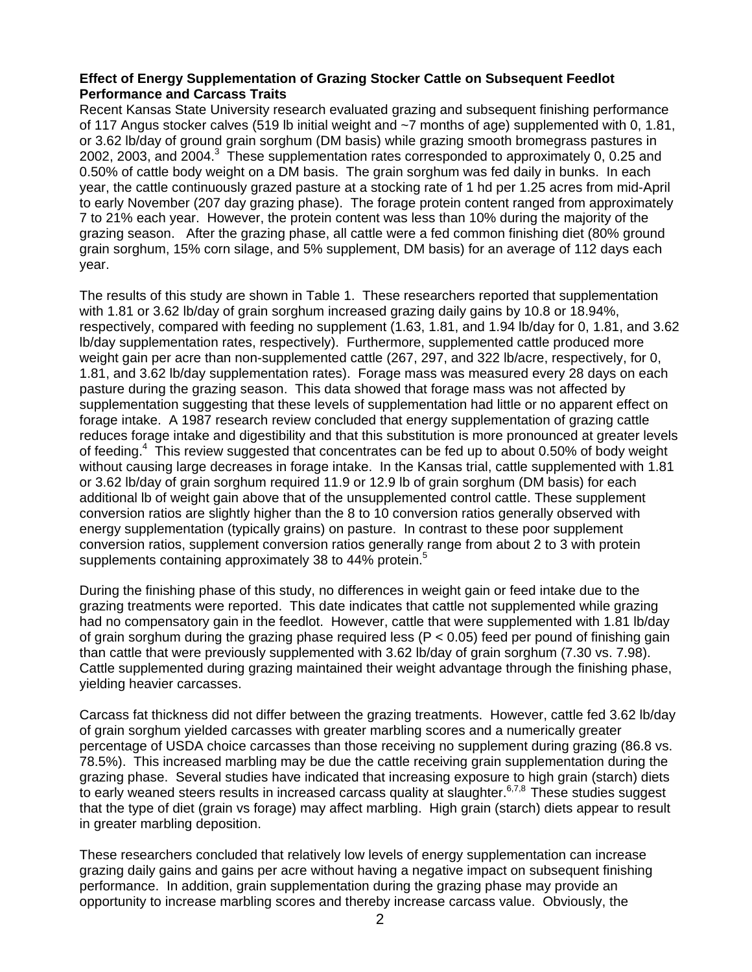## **Effect of Energy Supplementation of Grazing Stocker Cattle on Subsequent Feedlot Performance and Carcass Traits**

Recent Kansas State University research evaluated grazing and subsequent finishing performance of 117 Angus stocker calves (519 lb initial weight and  $\sim$ 7 months of age) supplemented with 0, 1.81, or 3.62 lb/day of ground grain sorghum (DM basis) while grazing smooth bromegrass pastures in 2002, 2003, and 2004.<sup>3</sup> These supplementation rates corresponded to approximately 0, 0.25 and 0.50% of cattle body weight on a DM basis. The grain sorghum was fed daily in bunks. In each year, the cattle continuously grazed pasture at a stocking rate of 1 hd per 1.25 acres from mid-April to early November (207 day grazing phase). The forage protein content ranged from approximately 7 to 21% each year. However, the protein content was less than 10% during the majority of the grazing season. After the grazing phase, all cattle were a fed common finishing diet (80% ground grain sorghum, 15% corn silage, and 5% supplement, DM basis) for an average of 112 days each year.

The results of this study are shown in Table 1. These researchers reported that supplementation with 1.81 or 3.62 lb/day of grain sorghum increased grazing daily gains by 10.8 or 18.94%, respectively, compared with feeding no supplement (1.63, 1.81, and 1.94 lb/day for 0, 1.81, and 3.62 lb/day supplementation rates, respectively). Furthermore, supplemented cattle produced more weight gain per acre than non-supplemented cattle (267, 297, and 322 lb/acre, respectively, for 0, 1.81, and 3.62 lb/day supplementation rates). Forage mass was measured every 28 days on each pasture during the grazing season. This data showed that forage mass was not affected by supplementation suggesting that these levels of supplementation had little or no apparent effect on forage intake. A 1987 research review concluded that energy supplementation of grazing cattle reduces forage intake and digestibility and that this substitution is more pronounced at greater levels of feeding.<sup>4</sup> This review suggested that concentrates can be fed up to about 0.50% of body weight without causing large decreases in forage intake. In the Kansas trial, cattle supplemented with 1.81 or 3.62 lb/day of grain sorghum required 11.9 or 12.9 lb of grain sorghum (DM basis) for each additional lb of weight gain above that of the unsupplemented control cattle. These supplement conversion ratios are slightly higher than the 8 to 10 conversion ratios generally observed with energy supplementation (typically grains) on pasture. In contrast to these poor supplement conversion ratios, supplement conversion ratios generally range from about 2 to 3 with protein supplements containing approximately 38 to 44% protein.<sup>5</sup>

During the finishing phase of this study, no differences in weight gain or feed intake due to the grazing treatments were reported. This date indicates that cattle not supplemented while grazing had no compensatory gain in the feedlot. However, cattle that were supplemented with 1.81 lb/day of grain sorghum during the grazing phase required less ( $P < 0.05$ ) feed per pound of finishing gain than cattle that were previously supplemented with 3.62 lb/day of grain sorghum (7.30 vs. 7.98). Cattle supplemented during grazing maintained their weight advantage through the finishing phase, yielding heavier carcasses.

Carcass fat thickness did not differ between the grazing treatments. However, cattle fed 3.62 lb/day of grain sorghum yielded carcasses with greater marbling scores and a numerically greater percentage of USDA choice carcasses than those receiving no supplement during grazing (86.8 vs. 78.5%). This increased marbling may be due the cattle receiving grain supplementation during the grazing phase. Several studies have indicated that increasing exposure to high grain (starch) diets to early weaned steers results in increased carcass quality at slaughter.<sup>6,7,8</sup> These studies suggest that the type of diet (grain vs forage) may affect marbling. High grain (starch) diets appear to result in greater marbling deposition.

These researchers concluded that relatively low levels of energy supplementation can increase grazing daily gains and gains per acre without having a negative impact on subsequent finishing performance. In addition, grain supplementation during the grazing phase may provide an opportunity to increase marbling scores and thereby increase carcass value. Obviously, the